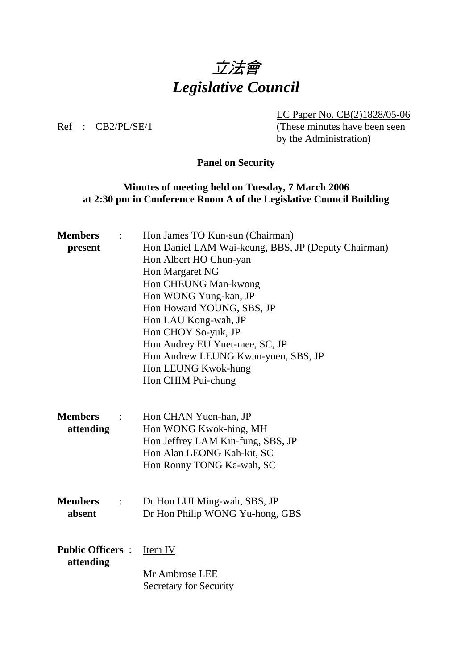

LC Paper No. CB(2)1828/05-06

Ref : CB2/PL/SE/1 (These minutes have been seen by the Administration)

# **Panel on Security**

## **Minutes of meeting held on Tuesday, 7 March 2006 at 2:30 pm in Conference Room A of the Legislative Council Building**

| <b>Members</b><br>present                  | Hon James TO Kun-sun (Chairman)<br>Hon Daniel LAM Wai-keung, BBS, JP (Deputy Chairman)<br>Hon Albert HO Chun-yan<br>Hon Margaret NG<br>Hon CHEUNG Man-kwong<br>Hon WONG Yung-kan, JP<br>Hon Howard YOUNG, SBS, JP<br>Hon LAU Kong-wah, JP |
|--------------------------------------------|-------------------------------------------------------------------------------------------------------------------------------------------------------------------------------------------------------------------------------------------|
|                                            | Hon CHOY So-yuk, JP<br>Hon Audrey EU Yuet-mee, SC, JP<br>Hon Andrew LEUNG Kwan-yuen, SBS, JP<br>Hon LEUNG Kwok-hung<br>Hon CHIM Pui-chung                                                                                                 |
| <b>Members</b><br>attending                | Hon CHAN Yuen-han, JP<br>Hon WONG Kwok-hing, MH<br>Hon Jeffrey LAM Kin-fung, SBS, JP<br>Hon Alan LEONG Kah-kit, SC<br>Hon Ronny TONG Ka-wah, SC                                                                                           |
| <b>Members</b><br>$\ddot{\cdot}$<br>absent | Dr Hon LUI Ming-wah, SBS, JP<br>Dr Hon Philip WONG Yu-hong, GBS                                                                                                                                                                           |
| <b>Public Officers:</b><br>attending       | Item IV<br>Mr Ambrose LEE<br><b>Secretary for Security</b>                                                                                                                                                                                |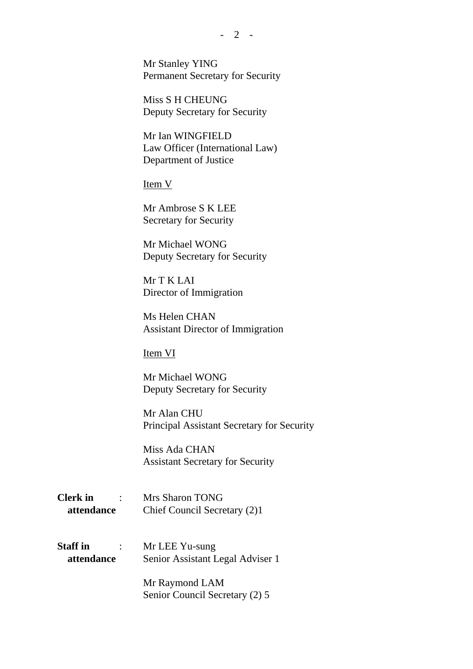Mr Stanley YING Permanent Secretary for Security

Miss S H CHEUNG Deputy Secretary for Security

Mr Ian WINGFIELD Law Officer (International Law) Department of Justice

Item V

Mr Ambrose S K LEE Secretary for Security

Mr Michael WONG Deputy Secretary for Security

Mr T K LAI Director of Immigration

Ms Helen CHAN Assistant Director of Immigration

Item VI

Mr Michael WONG Deputy Secretary for Security

Mr Alan CHU Principal Assistant Secretary for Security

Miss Ada CHAN Assistant Secretary for Security

**Clerk in** : Mrs Sharon TONG  **attendance** Chief Council Secretary (2)1

**Staff in** : Mr LEE Yu-sung  **attendance** Senior Assistant Legal Adviser 1

> Mr Raymond LAM Senior Council Secretary (2) 5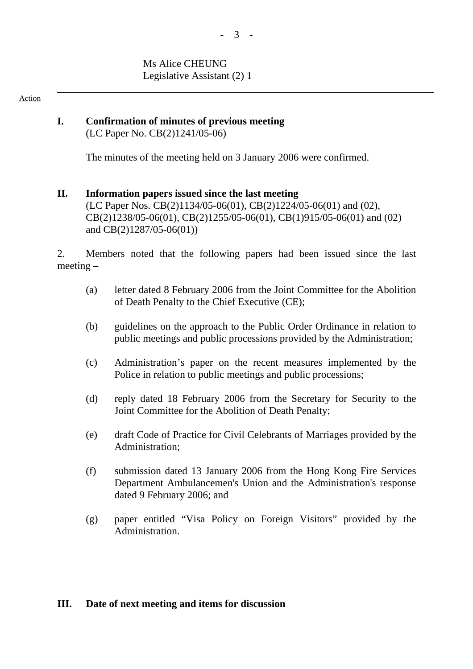#### $-3 -$

### Ms Alice CHEUNG Legislative Assistant (2) 1

#### Action

#### **I. Confirmation of minutes of previous meeting**  (LC Paper No. CB(2)1241/05-06)

The minutes of the meeting held on 3 January 2006 were confirmed.

## **II. Information papers issued since the last meeting**  (LC Paper Nos. CB(2)1134/05-06(01), CB(2)1224/05-06(01) and (02), CB(2)1238/05-06(01), CB(2)1255/05-06(01), CB(1)915/05-06(01) and (02) and CB(2)1287/05-06(01))

2. Members noted that the following papers had been issued since the last meeting –

- (a) letter dated 8 February 2006 from the Joint Committee for the Abolition of Death Penalty to the Chief Executive (CE);
- (b) guidelines on the approach to the Public Order Ordinance in relation to public meetings and public processions provided by the Administration;
- (c) Administration's paper on the recent measures implemented by the Police in relation to public meetings and public processions;
- (d) reply dated 18 February 2006 from the Secretary for Security to the Joint Committee for the Abolition of Death Penalty;
- (e) draft Code of Practice for Civil Celebrants of Marriages provided by the Administration;
- (f) submission dated 13 January 2006 from the Hong Kong Fire Services Department Ambulancemen's Union and the Administration's response dated 9 February 2006; and
- (g) paper entitled "Visa Policy on Foreign Visitors" provided by the Administration.

### **III. Date of next meeting and items for discussion**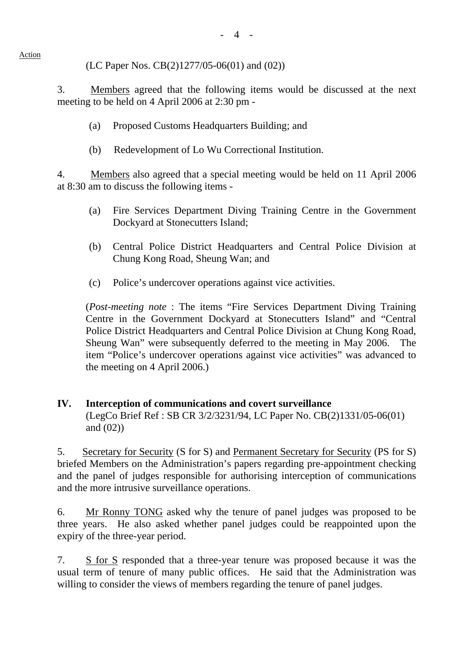(LC Paper Nos. CB(2)1277/05-06(01) and (02))

3. Members agreed that the following items would be discussed at the next meeting to be held on 4 April 2006 at 2:30 pm -

- (a) Proposed Customs Headquarters Building; and
- (b) Redevelopment of Lo Wu Correctional Institution.

4. Members also agreed that a special meeting would be held on 11 April 2006 at 8:30 am to discuss the following items -

- (a) Fire Services Department Diving Training Centre in the Government Dockyard at Stonecutters Island;
- (b) Central Police District Headquarters and Central Police Division at Chung Kong Road, Sheung Wan; and
- (c) Police's undercover operations against vice activities.

(*Post-meeting note* : The items "Fire Services Department Diving Training Centre in the Government Dockyard at Stonecutters Island" and "Central Police District Headquarters and Central Police Division at Chung Kong Road, Sheung Wan" were subsequently deferred to the meeting in May 2006. The item "Police's undercover operations against vice activities" was advanced to the meeting on 4 April 2006.)

### **IV. Interception of communications and covert surveillance**  (LegCo Brief Ref : SB CR 3/2/3231/94, LC Paper No. CB(2)1331/05-06(01) and (02))

5. Secretary for Security (S for S) and Permanent Secretary for Security (PS for S) briefed Members on the Administration's papers regarding pre-appointment checking and the panel of judges responsible for authorising interception of communications and the more intrusive surveillance operations.

6. Mr Ronny TONG asked why the tenure of panel judges was proposed to be three years. He also asked whether panel judges could be reappointed upon the expiry of the three-year period.

7. S for S responded that a three-year tenure was proposed because it was the usual term of tenure of many public offices. He said that the Administration was willing to consider the views of members regarding the tenure of panel judges.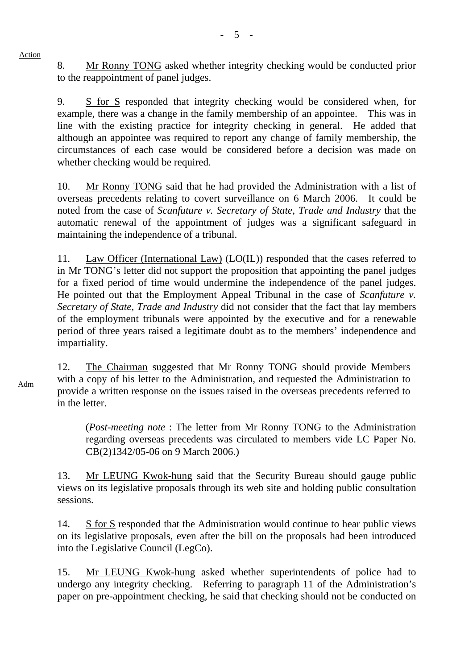8. Mr Ronny TONG asked whether integrity checking would be conducted prior to the reappointment of panel judges.

9. S for S responded that integrity checking would be considered when, for example, there was a change in the family membership of an appointee. This was in line with the existing practice for integrity checking in general. He added that although an appointee was required to report any change of family membership, the circumstances of each case would be considered before a decision was made on whether checking would be required.

10. Mr Ronny TONG said that he had provided the Administration with a list of overseas precedents relating to covert surveillance on 6 March 2006. It could be noted from the case of *Scanfuture v. Secretary of State, Trade and Industry* that the automatic renewal of the appointment of judges was a significant safeguard in maintaining the independence of a tribunal.

11. Law Officer (International Law) (LO(IL)) responded that the cases referred to in Mr TONG's letter did not support the proposition that appointing the panel judges for a fixed period of time would undermine the independence of the panel judges. He pointed out that the Employment Appeal Tribunal in the case of *Scanfuture v. Secretary of State, Trade and Industry* did not consider that the fact that lay members of the employment tribunals were appointed by the executive and for a renewable period of three years raised a legitimate doubt as to the members' independence and impartiality.

12. The Chairman suggested that Mr Ronny TONG should provide Members with a copy of his letter to the Administration, and requested the Administration to provide a written response on the issues raised in the overseas precedents referred to in the letter.

(*Post-meeting note* : The letter from Mr Ronny TONG to the Administration regarding overseas precedents was circulated to members vide LC Paper No. CB(2)1342/05-06 on 9 March 2006.)

13. Mr LEUNG Kwok-hung said that the Security Bureau should gauge public views on its legislative proposals through its web site and holding public consultation sessions.

14. S for S responded that the Administration would continue to hear public views on its legislative proposals, even after the bill on the proposals had been introduced into the Legislative Council (LegCo).

15. Mr LEUNG Kwok-hung asked whether superintendents of police had to undergo any integrity checking. Referring to paragraph 11 of the Administration's paper on pre-appointment checking, he said that checking should not be conducted on

Adm

Action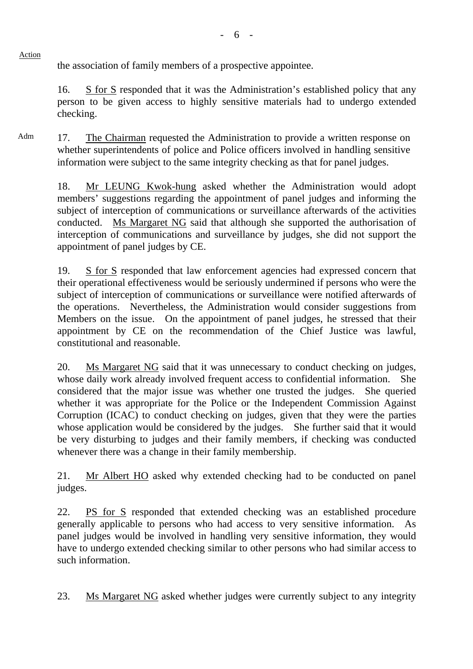the association of family members of a prospective appointee.

Action

16. S for S responded that it was the Administration's established policy that any person to be given access to highly sensitive materials had to undergo extended checking.

Adm 17. The Chairman requested the Administration to provide a written response on whether superintendents of police and Police officers involved in handling sensitive information were subject to the same integrity checking as that for panel judges.

18. Mr LEUNG Kwok-hung asked whether the Administration would adopt members' suggestions regarding the appointment of panel judges and informing the subject of interception of communications or surveillance afterwards of the activities conducted. Ms Margaret NG said that although she supported the authorisation of interception of communications and surveillance by judges, she did not support the appointment of panel judges by CE.

19. S for S responded that law enforcement agencies had expressed concern that their operational effectiveness would be seriously undermined if persons who were the subject of interception of communications or surveillance were notified afterwards of the operations. Nevertheless, the Administration would consider suggestions from Members on the issue. On the appointment of panel judges, he stressed that their appointment by CE on the recommendation of the Chief Justice was lawful, constitutional and reasonable.

20. Ms Margaret NG said that it was unnecessary to conduct checking on judges, whose daily work already involved frequent access to confidential information. She considered that the major issue was whether one trusted the judges. She queried whether it was appropriate for the Police or the Independent Commission Against Corruption (ICAC) to conduct checking on judges, given that they were the parties whose application would be considered by the judges. She further said that it would be very disturbing to judges and their family members, if checking was conducted whenever there was a change in their family membership.

21. Mr Albert HO asked why extended checking had to be conducted on panel judges.

22. PS for S responded that extended checking was an established procedure generally applicable to persons who had access to very sensitive information. As panel judges would be involved in handling very sensitive information, they would have to undergo extended checking similar to other persons who had similar access to such information.

23. Ms Margaret NG asked whether judges were currently subject to any integrity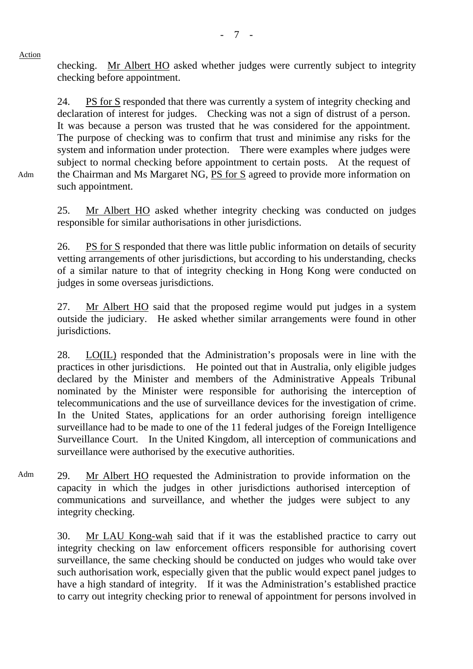Adm

checking. Mr Albert HO asked whether judges were currently subject to integrity checking before appointment.

24. PS for S responded that there was currently a system of integrity checking and declaration of interest for judges. Checking was not a sign of distrust of a person. It was because a person was trusted that he was considered for the appointment. The purpose of checking was to confirm that trust and minimise any risks for the system and information under protection. There were examples where judges were subject to normal checking before appointment to certain posts. At the request of the Chairman and Ms Margaret NG, PS for S agreed to provide more information on such appointment.

25. Mr Albert HO asked whether integrity checking was conducted on judges responsible for similar authorisations in other jurisdictions.

26. PS for S responded that there was little public information on details of security vetting arrangements of other jurisdictions, but according to his understanding, checks of a similar nature to that of integrity checking in Hong Kong were conducted on judges in some overseas jurisdictions.

27. Mr Albert HO said that the proposed regime would put judges in a system outside the judiciary. He asked whether similar arrangements were found in other jurisdictions.

28. LO(IL) responded that the Administration's proposals were in line with the practices in other jurisdictions. He pointed out that in Australia, only eligible judges declared by the Minister and members of the Administrative Appeals Tribunal nominated by the Minister were responsible for authorising the interception of telecommunications and the use of surveillance devices for the investigation of crime. In the United States, applications for an order authorising foreign intelligence surveillance had to be made to one of the 11 federal judges of the Foreign Intelligence Surveillance Court. In the United Kingdom, all interception of communications and surveillance were authorised by the executive authorities.

Adm 29. Mr Albert HO requested the Administration to provide information on the capacity in which the judges in other jurisdictions authorised interception of communications and surveillance, and whether the judges were subject to any integrity checking.

30. Mr LAU Kong-wah said that if it was the established practice to carry out integrity checking on law enforcement officers responsible for authorising covert surveillance, the same checking should be conducted on judges who would take over such authorisation work, especially given that the public would expect panel judges to have a high standard of integrity. If it was the Administration's established practice to carry out integrity checking prior to renewal of appointment for persons involved in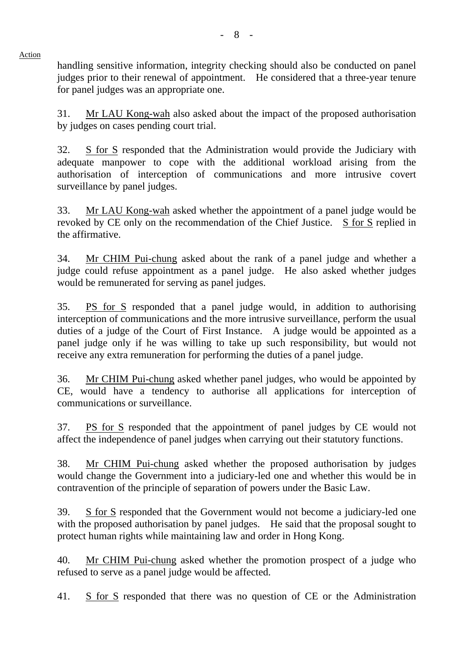handling sensitive information, integrity checking should also be conducted on panel judges prior to their renewal of appointment. He considered that a three-year tenure for panel judges was an appropriate one.

Action

31. Mr LAU Kong-wah also asked about the impact of the proposed authorisation by judges on cases pending court trial.

32. S for S responded that the Administration would provide the Judiciary with adequate manpower to cope with the additional workload arising from the authorisation of interception of communications and more intrusive covert surveillance by panel judges.

33. Mr LAU Kong-wah asked whether the appointment of a panel judge would be revoked by CE only on the recommendation of the Chief Justice. S for S replied in the affirmative.

34. Mr CHIM Pui-chung asked about the rank of a panel judge and whether a judge could refuse appointment as a panel judge. He also asked whether judges would be remunerated for serving as panel judges.

35. PS for S responded that a panel judge would, in addition to authorising interception of communications and the more intrusive surveillance, perform the usual duties of a judge of the Court of First Instance. A judge would be appointed as a panel judge only if he was willing to take up such responsibility, but would not receive any extra remuneration for performing the duties of a panel judge.

36. Mr CHIM Pui-chung asked whether panel judges, who would be appointed by CE, would have a tendency to authorise all applications for interception of communications or surveillance.

37. PS for S responded that the appointment of panel judges by CE would not affect the independence of panel judges when carrying out their statutory functions.

38. Mr CHIM Pui-chung asked whether the proposed authorisation by judges would change the Government into a judiciary-led one and whether this would be in contravention of the principle of separation of powers under the Basic Law.

39. S for S responded that the Government would not become a judiciary-led one with the proposed authorisation by panel judges. He said that the proposal sought to protect human rights while maintaining law and order in Hong Kong.

40. Mr CHIM Pui-chung asked whether the promotion prospect of a judge who refused to serve as a panel judge would be affected.

41. S for S responded that there was no question of CE or the Administration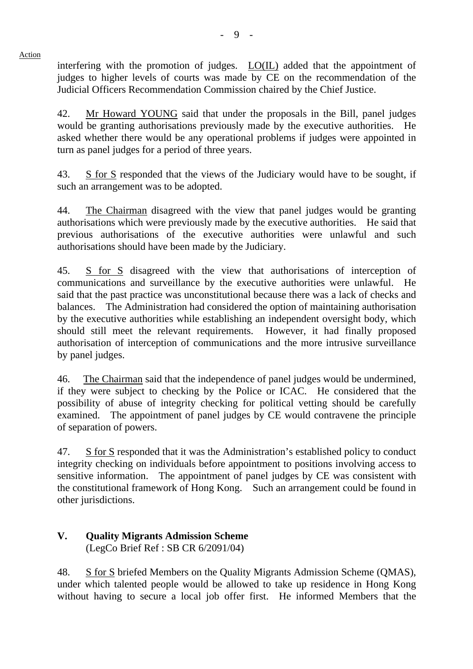Action interfering with the promotion of judges. LO(IL) added that the appointment of judges to higher levels of courts was made by CE on the recommendation of the Judicial Officers Recommendation Commission chaired by the Chief Justice.

42. Mr Howard YOUNG said that under the proposals in the Bill, panel judges would be granting authorisations previously made by the executive authorities. He asked whether there would be any operational problems if judges were appointed in turn as panel judges for a period of three years.

43. S for S responded that the views of the Judiciary would have to be sought, if such an arrangement was to be adopted.

44. The Chairman disagreed with the view that panel judges would be granting authorisations which were previously made by the executive authorities. He said that previous authorisations of the executive authorities were unlawful and such authorisations should have been made by the Judiciary.

45. S for S disagreed with the view that authorisations of interception of communications and surveillance by the executive authorities were unlawful. He said that the past practice was unconstitutional because there was a lack of checks and balances. The Administration had considered the option of maintaining authorisation by the executive authorities while establishing an independent oversight body, which should still meet the relevant requirements. However, it had finally proposed authorisation of interception of communications and the more intrusive surveillance by panel judges.

46. The Chairman said that the independence of panel judges would be undermined, if they were subject to checking by the Police or ICAC. He considered that the possibility of abuse of integrity checking for political vetting should be carefully examined. The appointment of panel judges by CE would contravene the principle of separation of powers.

47. S for S responded that it was the Administration's established policy to conduct integrity checking on individuals before appointment to positions involving access to sensitive information. The appointment of panel judges by CE was consistent with the constitutional framework of Hong Kong. Such an arrangement could be found in other jurisdictions.

# **V. Quality Migrants Admission Scheme**  (LegCo Brief Ref : SB CR 6/2091/04)

48. S for S briefed Members on the Quality Migrants Admission Scheme (QMAS), under which talented people would be allowed to take up residence in Hong Kong without having to secure a local job offer first. He informed Members that the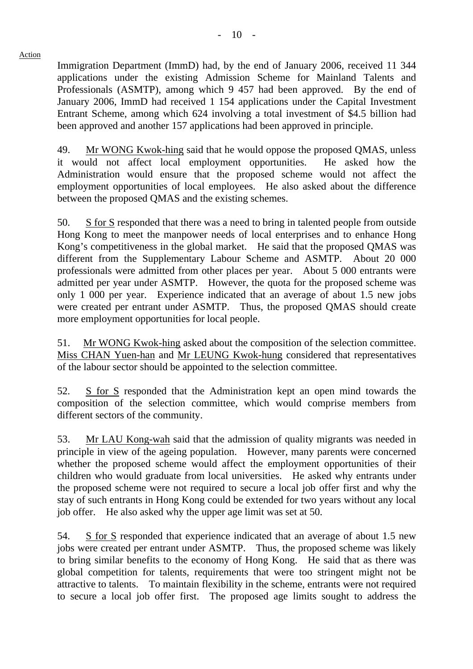Immigration Department (ImmD) had, by the end of January 2006, received 11 344 applications under the existing Admission Scheme for Mainland Talents and Professionals (ASMTP), among which 9 457 had been approved. By the end of January 2006, ImmD had received 1 154 applications under the Capital Investment Entrant Scheme, among which 624 involving a total investment of \$4.5 billion had been approved and another 157 applications had been approved in principle.

49. Mr WONG Kwok-hing said that he would oppose the proposed QMAS, unless it would not affect local employment opportunities. He asked how the Administration would ensure that the proposed scheme would not affect the employment opportunities of local employees. He also asked about the difference between the proposed QMAS and the existing schemes.

50. S for S responded that there was a need to bring in talented people from outside Hong Kong to meet the manpower needs of local enterprises and to enhance Hong Kong's competitiveness in the global market. He said that the proposed QMAS was different from the Supplementary Labour Scheme and ASMTP. About 20 000 professionals were admitted from other places per year. About 5 000 entrants were admitted per year under ASMTP. However, the quota for the proposed scheme was only 1 000 per year. Experience indicated that an average of about 1.5 new jobs were created per entrant under ASMTP. Thus, the proposed QMAS should create more employment opportunities for local people.

51. Mr WONG Kwok-hing asked about the composition of the selection committee. Miss CHAN Yuen-han and Mr LEUNG Kwok-hung considered that representatives of the labour sector should be appointed to the selection committee.

52. S for S responded that the Administration kept an open mind towards the composition of the selection committee, which would comprise members from different sectors of the community.

53. Mr LAU Kong-wah said that the admission of quality migrants was needed in principle in view of the ageing population. However, many parents were concerned whether the proposed scheme would affect the employment opportunities of their children who would graduate from local universities. He asked why entrants under the proposed scheme were not required to secure a local job offer first and why the stay of such entrants in Hong Kong could be extended for two years without any local job offer. He also asked why the upper age limit was set at 50.

54. S for S responded that experience indicated that an average of about 1.5 new jobs were created per entrant under ASMTP. Thus, the proposed scheme was likely to bring similar benefits to the economy of Hong Kong. He said that as there was global competition for talents, requirements that were too stringent might not be attractive to talents. To maintain flexibility in the scheme, entrants were not required to secure a local job offer first. The proposed age limits sought to address the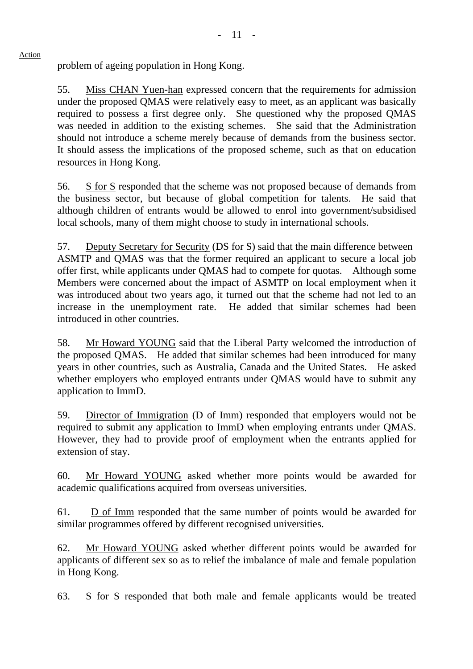problem of ageing population in Hong Kong.

55. Miss CHAN Yuen-han expressed concern that the requirements for admission under the proposed QMAS were relatively easy to meet, as an applicant was basically required to possess a first degree only. She questioned why the proposed QMAS was needed in addition to the existing schemes. She said that the Administration should not introduce a scheme merely because of demands from the business sector. It should assess the implications of the proposed scheme, such as that on education resources in Hong Kong.

56. S for S responded that the scheme was not proposed because of demands from the business sector, but because of global competition for talents. He said that although children of entrants would be allowed to enrol into government/subsidised local schools, many of them might choose to study in international schools.

57. Deputy Secretary for Security (DS for S) said that the main difference between ASMTP and QMAS was that the former required an applicant to secure a local job offer first, while applicants under QMAS had to compete for quotas. Although some Members were concerned about the impact of ASMTP on local employment when it was introduced about two years ago, it turned out that the scheme had not led to an increase in the unemployment rate. He added that similar schemes had been introduced in other countries.

58. Mr Howard YOUNG said that the Liberal Party welcomed the introduction of the proposed QMAS. He added that similar schemes had been introduced for many years in other countries, such as Australia, Canada and the United States. He asked whether employers who employed entrants under QMAS would have to submit any application to ImmD.

59. Director of Immigration (D of Imm) responded that employers would not be required to submit any application to ImmD when employing entrants under QMAS. However, they had to provide proof of employment when the entrants applied for extension of stay.

60. Mr Howard YOUNG asked whether more points would be awarded for academic qualifications acquired from overseas universities.

61. D of Imm responded that the same number of points would be awarded for similar programmes offered by different recognised universities.

62. Mr Howard YOUNG asked whether different points would be awarded for applicants of different sex so as to relief the imbalance of male and female population in Hong Kong.

63. S for S responded that both male and female applicants would be treated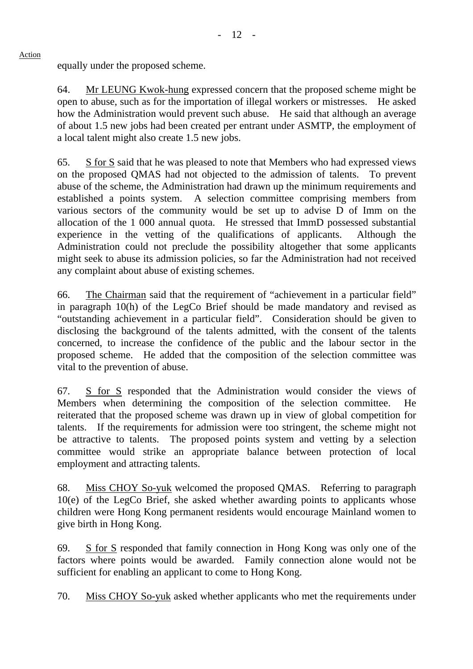equally under the proposed scheme.

64. Mr LEUNG Kwok-hung expressed concern that the proposed scheme might be open to abuse, such as for the importation of illegal workers or mistresses. He asked how the Administration would prevent such abuse. He said that although an average of about 1.5 new jobs had been created per entrant under ASMTP, the employment of a local talent might also create 1.5 new jobs.

65. S for S said that he was pleased to note that Members who had expressed views on the proposed QMAS had not objected to the admission of talents. To prevent abuse of the scheme, the Administration had drawn up the minimum requirements and established a points system. A selection committee comprising members from various sectors of the community would be set up to advise D of Imm on the allocation of the 1 000 annual quota. He stressed that ImmD possessed substantial experience in the vetting of the qualifications of applicants. Although the Administration could not preclude the possibility altogether that some applicants might seek to abuse its admission policies, so far the Administration had not received any complaint about abuse of existing schemes.

66. The Chairman said that the requirement of "achievement in a particular field" in paragraph 10(h) of the LegCo Brief should be made mandatory and revised as "outstanding achievement in a particular field". Consideration should be given to disclosing the background of the talents admitted, with the consent of the talents concerned, to increase the confidence of the public and the labour sector in the proposed scheme. He added that the composition of the selection committee was vital to the prevention of abuse.

67. S for S responded that the Administration would consider the views of Members when determining the composition of the selection committee. He reiterated that the proposed scheme was drawn up in view of global competition for talents. If the requirements for admission were too stringent, the scheme might not be attractive to talents. The proposed points system and vetting by a selection committee would strike an appropriate balance between protection of local employment and attracting talents.

68. Miss CHOY So-yuk welcomed the proposed QMAS. Referring to paragraph 10(e) of the LegCo Brief, she asked whether awarding points to applicants whose children were Hong Kong permanent residents would encourage Mainland women to give birth in Hong Kong.

69. S for S responded that family connection in Hong Kong was only one of the factors where points would be awarded. Family connection alone would not be sufficient for enabling an applicant to come to Hong Kong.

70. Miss CHOY So-yuk asked whether applicants who met the requirements under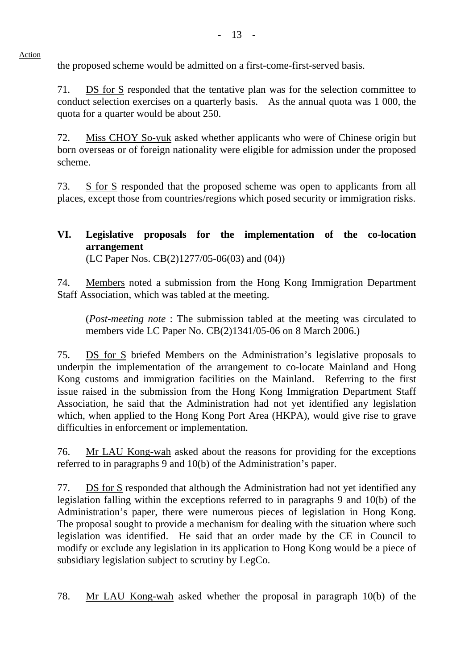- 13 -

the proposed scheme would be admitted on a first-come-first-served basis.

71. DS for S responded that the tentative plan was for the selection committee to conduct selection exercises on a quarterly basis. As the annual quota was 1 000, the quota for a quarter would be about 250.

72. Miss CHOY So-yuk asked whether applicants who were of Chinese origin but born overseas or of foreign nationality were eligible for admission under the proposed scheme.

73. S for S responded that the proposed scheme was open to applicants from all places, except those from countries/regions which posed security or immigration risks.

### **VI. Legislative proposals for the implementation of the co-location arrangement**  (LC Paper Nos. CB(2)1277/05-06(03) and (04))

74. Members noted a submission from the Hong Kong Immigration Department Staff Association, which was tabled at the meeting.

(*Post-meeting note* : The submission tabled at the meeting was circulated to members vide LC Paper No. CB(2)1341/05-06 on 8 March 2006.)

75. DS for S briefed Members on the Administration's legislative proposals to underpin the implementation of the arrangement to co-locate Mainland and Hong Kong customs and immigration facilities on the Mainland. Referring to the first issue raised in the submission from the Hong Kong Immigration Department Staff Association, he said that the Administration had not yet identified any legislation which, when applied to the Hong Kong Port Area (HKPA), would give rise to grave difficulties in enforcement or implementation.

76. Mr LAU Kong-wah asked about the reasons for providing for the exceptions referred to in paragraphs 9 and 10(b) of the Administration's paper.

77. DS for S responded that although the Administration had not yet identified any legislation falling within the exceptions referred to in paragraphs 9 and 10(b) of the Administration's paper, there were numerous pieces of legislation in Hong Kong. The proposal sought to provide a mechanism for dealing with the situation where such legislation was identified. He said that an order made by the CE in Council to modify or exclude any legislation in its application to Hong Kong would be a piece of subsidiary legislation subject to scrutiny by LegCo.

78. Mr LAU Kong-wah asked whether the proposal in paragraph 10(b) of the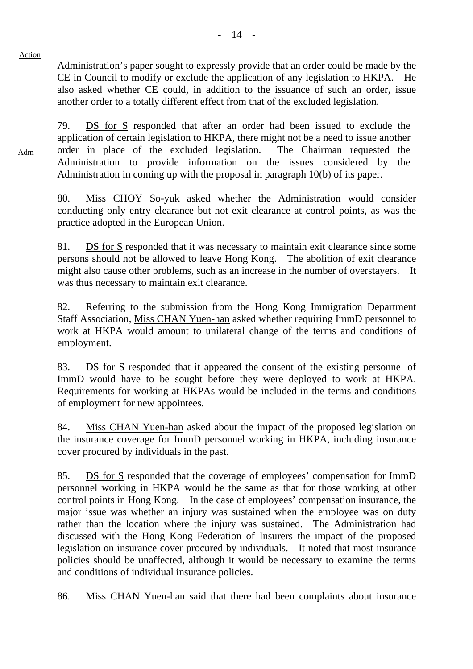Adm

Administration's paper sought to expressly provide that an order could be made by the CE in Council to modify or exclude the application of any legislation to HKPA. He also asked whether CE could, in addition to the issuance of such an order, issue another order to a totally different effect from that of the excluded legislation.

79. DS for S responded that after an order had been issued to exclude the application of certain legislation to HKPA, there might not be a need to issue another order in place of the excluded legislation. The Chairman requested the Administration to provide information on the issues considered by the Administration in coming up with the proposal in paragraph 10(b) of its paper.

80. Miss CHOY So-yuk asked whether the Administration would consider conducting only entry clearance but not exit clearance at control points, as was the practice adopted in the European Union.

81. DS for S responded that it was necessary to maintain exit clearance since some persons should not be allowed to leave Hong Kong. The abolition of exit clearance might also cause other problems, such as an increase in the number of overstayers. It was thus necessary to maintain exit clearance.

82. Referring to the submission from the Hong Kong Immigration Department Staff Association, Miss CHAN Yuen-han asked whether requiring ImmD personnel to work at HKPA would amount to unilateral change of the terms and conditions of employment.

83. DS for S responded that it appeared the consent of the existing personnel of ImmD would have to be sought before they were deployed to work at HKPA. Requirements for working at HKPAs would be included in the terms and conditions of employment for new appointees.

84. Miss CHAN Yuen-han asked about the impact of the proposed legislation on the insurance coverage for ImmD personnel working in HKPA, including insurance cover procured by individuals in the past.

85. DS for S responded that the coverage of employees' compensation for ImmD personnel working in HKPA would be the same as that for those working at other control points in Hong Kong. In the case of employees' compensation insurance, the major issue was whether an injury was sustained when the employee was on duty rather than the location where the injury was sustained. The Administration had discussed with the Hong Kong Federation of Insurers the impact of the proposed legislation on insurance cover procured by individuals. It noted that most insurance policies should be unaffected, although it would be necessary to examine the terms and conditions of individual insurance policies.

86. Miss CHAN Yuen-han said that there had been complaints about insurance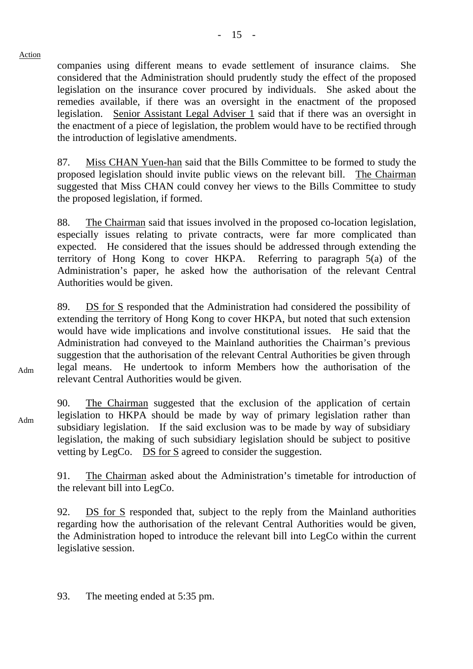companies using different means to evade settlement of insurance claims. She considered that the Administration should prudently study the effect of the proposed legislation on the insurance cover procured by individuals. She asked about the remedies available, if there was an oversight in the enactment of the proposed legislation. Senior Assistant Legal Adviser 1 said that if there was an oversight in the enactment of a piece of legislation, the problem would have to be rectified through the introduction of legislative amendments.

87. Miss CHAN Yuen-han said that the Bills Committee to be formed to study the proposed legislation should invite public views on the relevant bill. The Chairman suggested that Miss CHAN could convey her views to the Bills Committee to study the proposed legislation, if formed.

88. The Chairman said that issues involved in the proposed co-location legislation, especially issues relating to private contracts, were far more complicated than expected. He considered that the issues should be addressed through extending the territory of Hong Kong to cover HKPA. Referring to paragraph 5(a) of the Administration's paper, he asked how the authorisation of the relevant Central Authorities would be given.

89. DS for S responded that the Administration had considered the possibility of extending the territory of Hong Kong to cover HKPA, but noted that such extension would have wide implications and involve constitutional issues. He said that the Administration had conveyed to the Mainland authorities the Chairman's previous suggestion that the authorisation of the relevant Central Authorities be given through legal means. He undertook to inform Members how the authorisation of the relevant Central Authorities would be given.

90. The Chairman suggested that the exclusion of the application of certain legislation to HKPA should be made by way of primary legislation rather than subsidiary legislation. If the said exclusion was to be made by way of subsidiary legislation, the making of such subsidiary legislation should be subject to positive vetting by LegCo. DS for S agreed to consider the suggestion.

91. The Chairman asked about the Administration's timetable for introduction of the relevant bill into LegCo.

92. DS for S responded that, subject to the reply from the Mainland authorities regarding how the authorisation of the relevant Central Authorities would be given, the Administration hoped to introduce the relevant bill into LegCo within the current legislative session.

93. The meeting ended at 5:35 pm.

Adm

Action

Adm